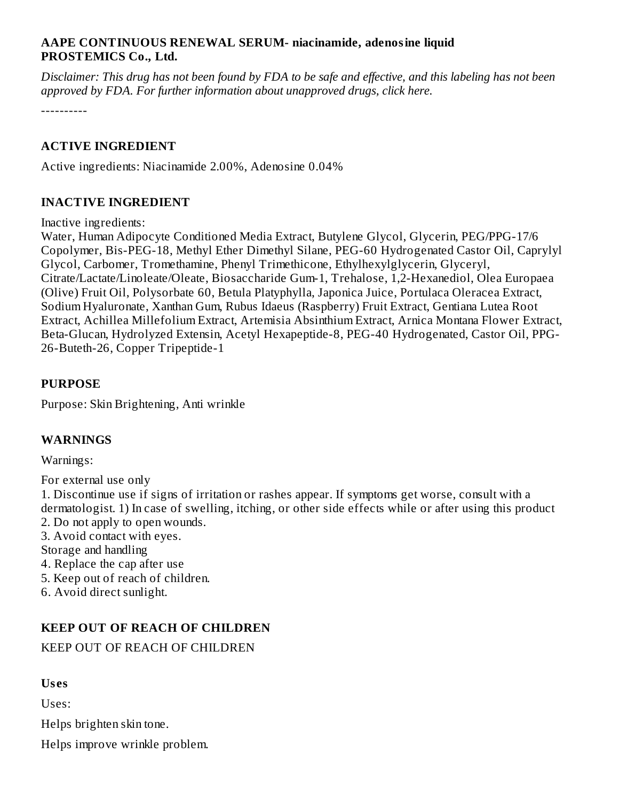#### **AAPE CONTINUOUS RENEWAL SERUM- niacinamide, adenosine liquid PROSTEMICS Co., Ltd.**

Disclaimer: This drug has not been found by FDA to be safe and effective, and this labeling has not been *approved by FDA. For further information about unapproved drugs, click here.*

----------

#### **ACTIVE INGREDIENT**

Active ingredients: Niacinamide 2.00%, Adenosine 0.04%

#### **INACTIVE INGREDIENT**

Inactive ingredients:

Water, Human Adipocyte Conditioned Media Extract, Butylene Glycol, Glycerin, PEG/PPG-17/6 Copolymer, Bis-PEG-18, Methyl Ether Dimethyl Silane, PEG-60 Hydrogenated Castor Oil, Caprylyl Glycol, Carbomer, Tromethamine, Phenyl Trimethicone, Ethylhexylglycerin, Glyceryl, Citrate/Lactate/Linoleate/Oleate, Biosaccharide Gum-1, Trehalose, 1,2-Hexanediol, Olea Europaea (Olive) Fruit Oil, Polysorbate 60, Betula Platyphylla, Japonica Juice, Portulaca Oleracea Extract, Sodium Hyaluronate, Xanthan Gum, Rubus Idaeus (Raspberry) Fruit Extract, Gentiana Lutea Root Extract, Achillea Millefolium Extract, Artemisia Absinthium Extract, Arnica Montana Flower Extract, Beta-Glucan, Hydrolyzed Extensin, Acetyl Hexapeptide-8, PEG-40 Hydrogenated, Castor Oil, PPG-26-Buteth-26, Copper Tripeptide-1

#### **PURPOSE**

Purpose: Skin Brightening, Anti wrinkle

#### **WARNINGS**

Warnings:

For external use only

1. Discontinue use if signs of irritation or rashes appear. If symptoms get worse, consult with a dermatologist. 1) In case of swelling, itching, or other side effects while or after using this product 2. Do not apply to open wounds.

3. Avoid contact with eyes.

Storage and handling

4. Replace the cap after use

- 5. Keep out of reach of children.
- 6. Avoid direct sunlight.

#### **KEEP OUT OF REACH OF CHILDREN**

KEEP OUT OF REACH OF CHILDREN

#### **Us es**

Uses:

Helps brighten skin tone.

Helps improve wrinkle problem.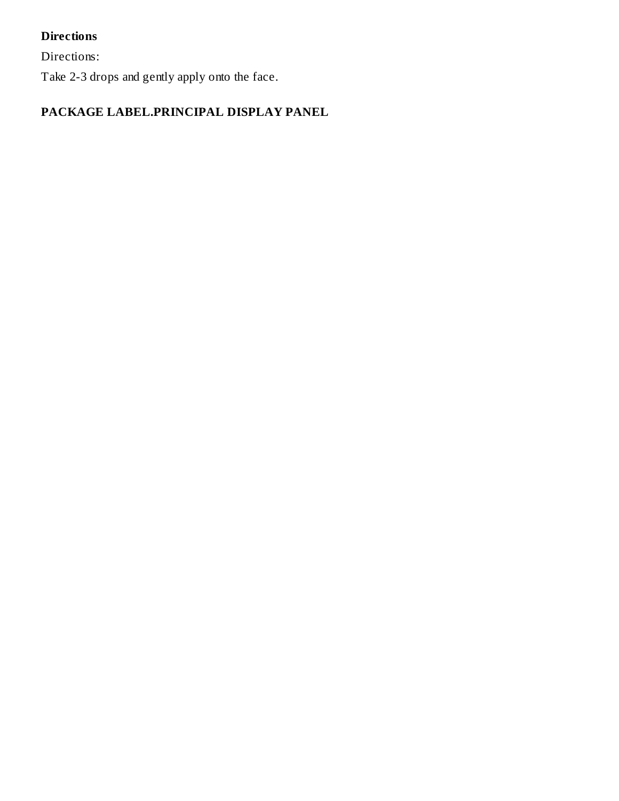## **Directions**

Directions:

Take 2-3 drops and gently apply onto the face.

# **PACKAGE LABEL.PRINCIPAL DISPLAY PANEL**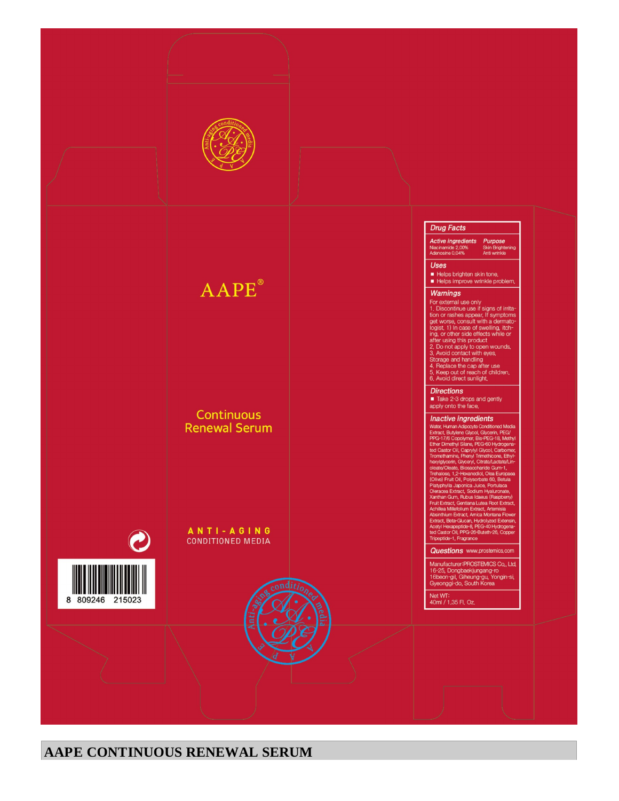



### **AAPE CONTINUOUS RENEWAL SERUM**